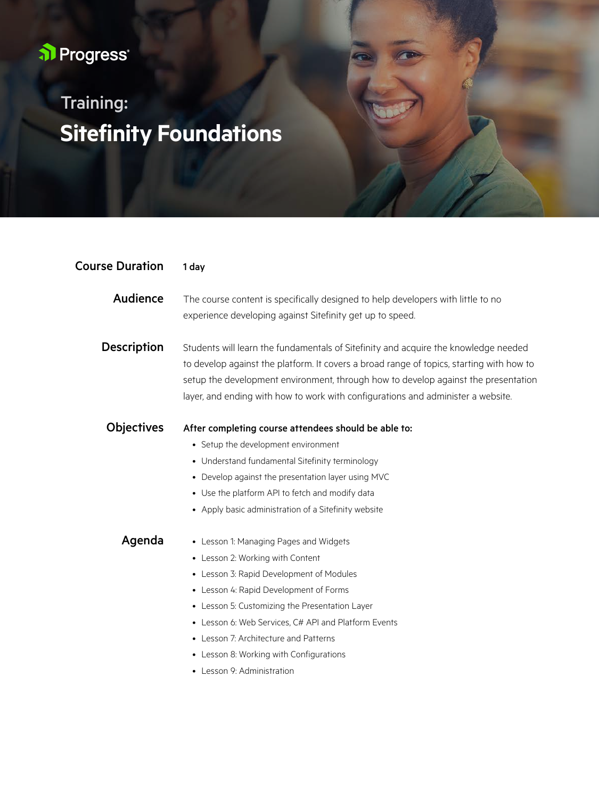## al Progress<sup>®</sup>

## **Sitefinity Foundations** Training:

| <b>Course Duration</b> | 1 day                                                                                                                                                                                                                                                                                                                                                                                        |
|------------------------|----------------------------------------------------------------------------------------------------------------------------------------------------------------------------------------------------------------------------------------------------------------------------------------------------------------------------------------------------------------------------------------------|
| Audience               | The course content is specifically designed to help developers with little to no<br>experience developing against Sitefinity get up to speed.                                                                                                                                                                                                                                                |
| <b>Description</b>     | Students will learn the fundamentals of Sitefinity and acquire the knowledge needed<br>to develop against the platform. It covers a broad range of topics, starting with how to<br>setup the development environment, through how to develop against the presentation<br>layer, and ending with how to work with configurations and administer a website.                                    |
| <b>Objectives</b>      | After completing course attendees should be able to:<br>• Setup the development environment<br>• Understand fundamental Sitefinity terminology<br>• Develop against the presentation layer using MVC<br>• Use the platform API to fetch and modify data<br>• Apply basic administration of a Sitefinity website                                                                              |
| Agenda                 | • Lesson 1: Managing Pages and Widgets<br>• Lesson 2: Working with Content<br>• Lesson 3: Rapid Development of Modules<br>• Lesson 4: Rapid Development of Forms<br>• Lesson 5: Customizing the Presentation Layer<br>• Lesson 6: Web Services, C# API and Platform Events<br>• Lesson 7: Architecture and Patterns<br>• Lesson 8: Working with Configurations<br>• Lesson 9: Administration |